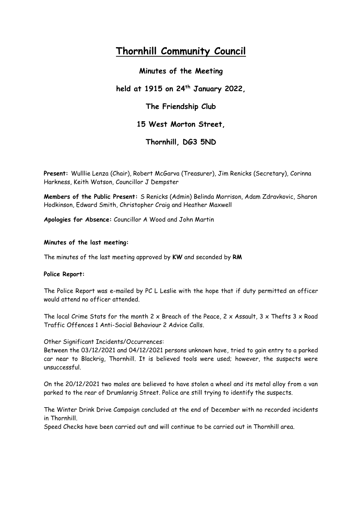# **Thornhill Community Council**

**Minutes of the Meeting held at 1915 on 24th January 2022, The Friendship Club 15 West Morton Street,** 

**Thornhill, DG3 5ND**

**Present:** Wulllie Lenza (Chair), Robert McGarva (Treasurer), Jim Renicks (Secretary), Corinna Harkness, Keith Watson, Councillor J Dempster

**Members of the Public Present:** S Renicks (Admin) Belinda Morrison, Adam Zdravkovic, Sharon Hodkinson, Edward Smith, Christopher Craig and Heather Maxwell

**Apologies for Absence:** Councillor A Wood and John Martin

# **Minutes of the last meeting:**

The minutes of the last meeting approved by **KW** and seconded by **RM**

# **Police Report:**

The Police Report was e-mailed by PC L Leslie with the hope that if duty permitted an officer would attend no officer attended.

The local Crime Stats for the month 2 x Breach of the Peace, 2 x Assault, 3 x Thefts  $3 \times$  Road Traffic Offences 1 Anti-Social Behaviour 2 Advice Calls.

# Other Significant Incidents/Occurrences:

Between the 03/12/2021 and 04/12/2021 persons unknown have, tried to gain entry to a parked car near to Blackrig, Thornhill. It is believed tools were used; however, the suspects were unsuccessful.

On the 20/12/2021 two males are believed to have stolen a wheel and its metal alloy from a van parked to the rear of Drumlanrig Street. Police are still trying to identify the suspects.

The Winter Drink Drive Campaign concluded at the end of December with no recorded incidents in Thornhill.

Speed Checks have been carried out and will continue to be carried out in Thornhill area.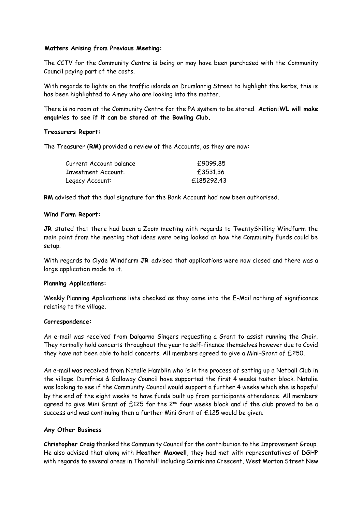# **Matters Arising from Previous Meeting:**

The CCTV for the Community Centre is being or may have been purchased with the Community Council paying part of the costs.

With regards to lights on the traffic islands on Drumlanrig Street to highlight the kerbs, this is has been highlighted to Amey who are looking into the matter.

There is no room at the Community Centre for the PA system to be stored. **Action:WL will make enquiries to see if it can be stored at the Bowling Club.**

# **Treasurers Report:**

The Treasurer (**RM)** provided a review of the Accounts, as they are now:

| £9099.85   |
|------------|
| £3531.36   |
| £185292.43 |
|            |

**RM** advised that the dual signature for the Bank Account had now been authorised.

# **Wind Farm Report:**

**JR** stated that there had been a Zoom meeting with regards to TwentyShilling Windfarm the main point from the meeting that ideas were being looked at how the Community Funds could be setup.

With regards to Clyde Windfarm **JR** advised that applications were now closed and there was a large application made to it.

# **Planning Applications:**

Weekly Planning Applications lists checked as they came into the E-Mail nothing of significance relating to the village.

# **Correspondence:**

An e-mail was received from Dalgarno Singers requesting a Grant to assist running the Choir. They normally hold concerts throughout the year to self-finance themselves however due to Covid they have not been able to hold concerts. All members agreed to give a Mini-Grant of £250.

An e-mail was received from Natalie Hamblin who is in the process of setting up a Netball Club in the village. Dumfries & Galloway Council have supported the first 4 weeks taster block. Natalie was looking to see if the Community Council would support a further 4 weeks which she is hopeful by the end of the eight weeks to have funds built up from participants attendance. All members agreed to give Mini Grant of  $£125$  for the 2<sup>nd</sup> four weeks block and if the club proved to be a success and was continuing then a further Mini Grant of £125 would be given.

# **Any Other Business**

**Christopher Craig** thanked the Community Council for the contribution to the Improvement Group. He also advised that along with **Heather Maxwell**, they had met with representatives of DGHP with regards to several areas in Thornhill including Cairnkinna Crescent, West Morton Street New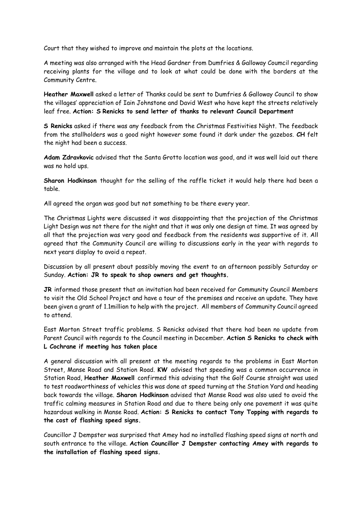Court that they wished to improve and maintain the plots at the locations.

A meeting was also arranged with the Head Gardner from Dumfries & Galloway Coumcil regarding receiving plants for the village and to look at what could be done with the borders at the Community Centre.

**Heather Maxwell** asked a letter of Thanks could be sent to Dumfries & Galloway Council to show the villages' appreciation of Iain Johnstone and David West who have kept the streets relatively leaf free. **Action: S Renicks to send letter of thanks to relevant Council Department**

**S Renicks** asked if there was any feedback from the Christmas Festivities Night. The feedback from the stallholders was a good night however some found it dark under the gazebos. **CH** felt the night had been a success.

**Adam Zdravkovic** advised that the Santa Grotto location was good, and it was well laid out there was no hold ups.

**Sharon Hodkinson** thought for the selling of the raffle ticket it would help there had been a table.

All agreed the organ was good but not something to be there every year.

The Christmas Lights were discussed it was disappointing that the projection of the Christmas Light Design was not there for the night and that it was only one design at time. It was agreed by all that the projection was very good and feedback from the residents was supportive of it. All agreed that the Community Council are willing to discussions early in the year with regards to next years display to avoid a repeat.

Discussion by all present about possibly moving the event to an afternoon possibly Saturday or Sunday. **Action: JR to speak to shop owners and get thoughts.**

**JR** informed those present that an invitation had been received for Community Council Members to visit the Old School Project and have a tour of the premises and receive an update. They have been given a grant of 1.1million to help with the project. All members of Community Council agreed to attend.

East Morton Street traffic problems. S Renicks advised that there had been no update from Parent Council with regards to the Council meeting in December. **Action S Renicks to check with L Cochrane if meeting has taken place**

A general discussion with all present at the meeting regards to the problems in East Morton Street, Manse Road and Station Road. **KW** advised that speeding was a common occurrence in Station Road, **Heather Maxwell** confirmed this advising that the Golf Course straight was used to test roadworthiness of vehicles this was done at speed turning at the Station Yard and heading back towards the village. **Sharon Hodkinson** advised that Manse Road was also used to avoid the traffic calming measures in Station Road and due to there being only one pavement it was quite hazardous walking in Manse Road. **Action: S Renicks to contact Tony Topping with regards to the cost of flashing speed signs.**

Councillor J Dempster was surprised that Amey had no installed flashing speed signs at north and south entrance to the village. **Action Councillor J Dempster contacting Amey with regards to the installation of flashing speed signs.**